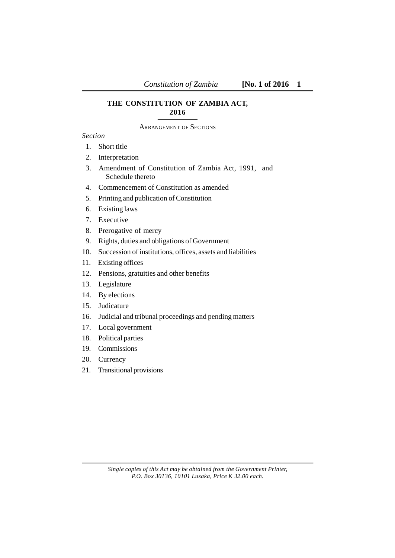## **THE CONSTITUTION OF ZAMBIA ACT, 2016**

ARRANGEMENT OF SECTIONS

## *Section*

- 1. Short title
- 2. Interpretation
- 3. Amendment of Constitution of Zambia Act, 1991, and Schedule thereto
- 4. Commencement of Constitution as amended
- 5. Printing and publication of Constitution
- 6. Existing laws
- 7. Executive
- 8. Prerogative of mercy
- 9. Rights, duties and obligations of Government
- 10. Succession of institutions, offices, assets and liabilities
- 11. Existing offices
- 12. Pensions, gratuities and other benefits
- 13. Legislature
- 14. By elections
- 15. Judicature
- 16. Judicial and tribunal proceedings and pending matters
- 17. Local government
- 18. Political parties
- 19. Commissions
- 20. Currency
- 21. Transitional provisions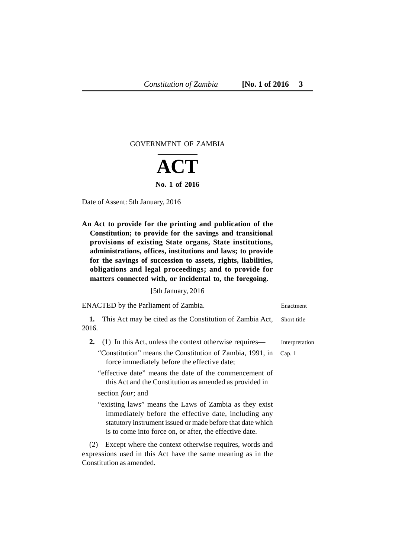## GOVERNMENT OF ZAMBIA



Date of Assent: 5th January, 2016

**An Act to provide for the printing and publication of the Constitution; to provide for the savings and transitional provisions of existing State organs, State institutions, administrations, offices, institutions and laws; to provide for the savings of succession to assets, rights, liabilities, obligations and legal proceedings; and to provide for matters connected with, or incidental to, the foregoing.** 

[5th January, 2016

| ENACTED by the Parliament of Zambia.                                                                                                                                                                                                    | Enactment      |
|-----------------------------------------------------------------------------------------------------------------------------------------------------------------------------------------------------------------------------------------|----------------|
| This Act may be cited as the Constitution of Zambia Act,<br>1.                                                                                                                                                                          | Short title    |
| 2016.                                                                                                                                                                                                                                   |                |
| (1) In this Act, unless the context otherwise requires—<br>2.                                                                                                                                                                           | Interpretation |
| "Constitution" means the Constitution of Zambia, 1991, in<br>force immediately before the effective date;                                                                                                                               | Cap. 1         |
| "effective date" means the date of the commencement of<br>this Act and the Constitution as amended as provided in                                                                                                                       |                |
| section <i>four</i> ; and                                                                                                                                                                                                               |                |
| "existing laws" means the Laws of Zambia as they exist<br>immediately before the effective date, including any<br>statutory instrument issued or made before that date which<br>is to come into force on, or after, the effective date. |                |
| Except where the context otherwise requires, words and<br>(2)<br>expressions used in this Act have the same meaning as in the<br>Constitution as amended.                                                                               |                |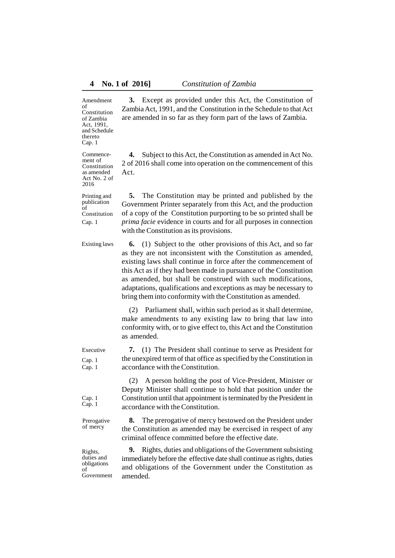Amendment of

of Zambia Act, 1991, and Schedule thereto Cap. 1

Commencement of Constitution as amended Act No. 2 of 2016

Printing and publication of

Constitution **3.** Except as provided under this Act, the Constitution of Zambia Act, 1991, and the Constitution in the Schedule to that Act are amended in so far as they form part of the laws of Zambia.

> **4.** Subject to this Act, the Constitution as amended in Act No. 2 of 2016 shall come into operation on the commencement of this Act.

> **5.** The Constitution may be printed and published by the Government Printer separately from this Act, and the production of a copy of the Constitution purporting to be so printed shall be *prima facie* evidence in courts and for all purposes in connection with the Constitution as its provisions.

Existing laws

**6.** (1) Subject to the other provisions of this Act, and so far as they are not inconsistent with the Constitution as amended, existing laws shall continue in force after the commencement of this Act as if they had been made in pursuance of the Constitution as amended, but shall be construed with such modifications, adaptations, qualifications and exceptions as may be necessary to bring them into conformity with the Constitution as amended.

(2) Parliament shall, within such period as it shall determine, make amendments to any existing law to bring that law into conformity with, or to give effect to, this Act and the Constitution as amended.

**7.** (1) The President shall continue to serve as President for the unexpired term of that office as specified by the Constitution in accordance with the Constitution.

(2) A person holding the post of Vice-President, Minister or Deputy Minister shall continue to hold that position under the Constitution until that appointment is terminated by the President in accordance with the Constitution.

**8.** The prerogative of mercy bestowed on the President under the Constitution as amended may be exercised in respect of any criminal offence committed before the effective date.

**9.** Rights, duties and obligations of the Government subsisting immediately before the effective date shall continue as rights, duties and obligations of the Government under the Constitution as amended.

Executive Cap. 1 Cap. 1

Cap. 1 Cap. 1

Prerogative of mercy

Rights, duties and obligations of Government

Constitution Cap. 1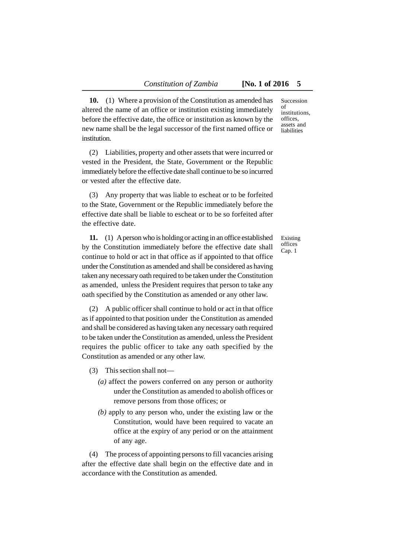**10.** (1) Where a provision of the Constitution as amended has altered the name of an office or institution existing immediately before the effective date, the office or institution as known by the new name shall be the legal successor of the first named office or institution.

(2) Liabilities, property and other assets that were incurred or vested in the President, the State, Government or the Republic immediately before the effective date shall continue to be so incurred or vested after the effective date.

(3) Any property that was liable to escheat or to be forfeited to the State, Government or the Republic immediately before the effective date shall be liable to escheat or to be so forfeited after the effective date.

**11.** (1) Aperson who is holding or acting in an office established by the Constitution immediately before the effective date shall continue to hold or act in that office as if appointed to that office under the Constitution as amended and shall be considered as having taken any necessary oath required to be taken under the Constitution as amended, unless the President requires that person to take any oath specified by the Constitution as amended or any other law.

(2) A public officer shall continue to hold or act in that office as if appointed to that position under the Constitution as amended and shall be considered as having taken any necessary oath required to be taken under the Constitution as amended, unless the President requires the public officer to take any oath specified by the Constitution as amended or any other law.

(3) This section shall not—

- *(a)* affect the powers conferred on any person or authority under the Constitution as amended to abolish offices or remove persons from those offices; or
- *(b)* apply to any person who, under the existing law or the Constitution, would have been required to vacate an office at the expiry of any period or on the attainment of any age.

(4) The process of appointing persons to fill vacancies arising after the effective date shall begin on the effective date and in accordance with the Constitution as amended.

Succession of institutions, offices, assets and liabilities

Existing offices Cap. 1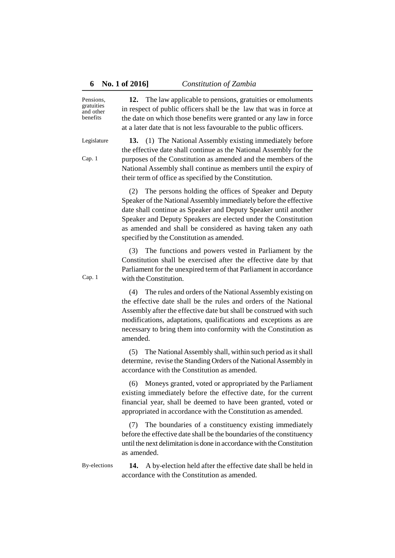Pensions, gratuities and other benefits

**12.** The law applicable to pensions, gratuities or emoluments in respect of public officers shall be the law that was in force at the date on which those benefits were granted or any law in force at a later date that is not less favourable to the public officers.

Legislature

Cap. 1

**13.** (1) The National Assembly existing immediately before the effective date shall continue as the National Assembly for the purposes of the Constitution as amended and the members of the National Assembly shall continue as members until the expiry of their term of office as specified by the Constitution.

(2) The persons holding the offices of Speaker and Deputy Speaker of the National Assembly immediately before the effective date shall continue as Speaker and Deputy Speaker until another Speaker and Deputy Speakers are elected under the Constitution as amended and shall be considered as having taken any oath specified by the Constitution as amended.

The functions and powers vested in Parliament by the Constitution shall be exercised after the effective date by that Parliament for the unexpired term of that Parliament in accordance with the Constitution.

(4) The rules and orders of the National Assembly existing on the effective date shall be the rules and orders of the National Assembly after the effective date but shall be construed with such modifications, adaptations, qualifications and exceptions as are necessary to bring them into conformity with the Constitution as amended.

(5) The National Assembly shall, within such period as it shall determine*,* revise the Standing Orders of the National Assembly in accordance with the Constitution as amended.

(6) Moneys granted, voted or appropriated by the Parliament existing immediately before the effective date, for the current financial year, shall be deemed to have been granted, voted or appropriated in accordance with the Constitution as amended.

(7) The boundaries of a constituency existing immediately before the effective date shall be the boundaries of the constituency until the next delimitation is done in accordance with the Constitution as amended.

By-elections **14.** A by-election held after the effective date shall be held in accordance with the Constitution as amended.

Cap. 1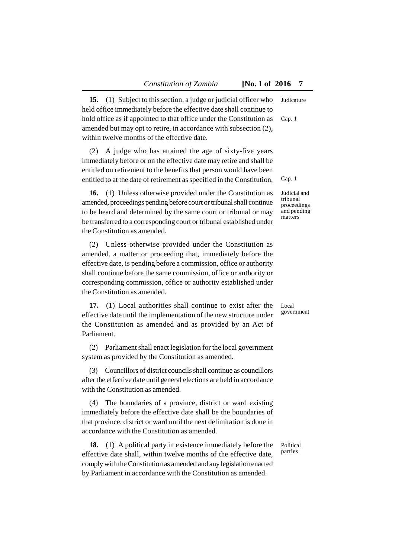**15.** (1) Subject to this section, a judge or judicial officer who held office immediately before the effective date shall continue to hold office as if appointed to that office under the Constitution as amended but may opt to retire, in accordance with subsection (2), within twelve months of the effective date. Judicature Cap. 1

(2) A judge who has attained the age of sixty-five years immediately before or on the effective date may retire and shall be entitled on retirement to the benefits that person would have been entitled to at the date of retirement as specified in the Constitution.

**16.** (1) Unless otherwise provided under the Constitution as amended, proceedings pending before court or tribunal shall continue to be heard and determined by the same court or tribunal or may be transferred to a corresponding court or tribunal established under the Constitution as amended.

(2) Unless otherwise provided under the Constitution as amended, a matter or proceeding that, immediately before the effective date, is pending before a commission, office or authority shall continue before the same commission, office or authority or corresponding commission, office or authority established under the Constitution as amended.

**17.** (1) Local authorities shall continue to exist after the effective date until the implementation of the new structure under the Constitution as amended and as provided by an Act of Parliament.

(2) Parliament shall enact legislation for the local government system as provided by the Constitution as amended.

(3) Councillors of district councils shall continue as councillors after the effective date until general elections are held in accordance with the Constitution as amended.

(4) The boundaries of a province, district or ward existing immediately before the effective date shall be the boundaries of that province, district or ward until the next delimitation is done in accordance with the Constitution as amended.

**18.** (1) A political party in existence immediately before the effective date shall, within twelve months of the effective date, comply with the Constitution as amended and any legislation enacted by Parliament in accordance with the Constitution as amended.

Political parties

Local government

Cap. 1

Judicial and tribunal proceedings and pending matters